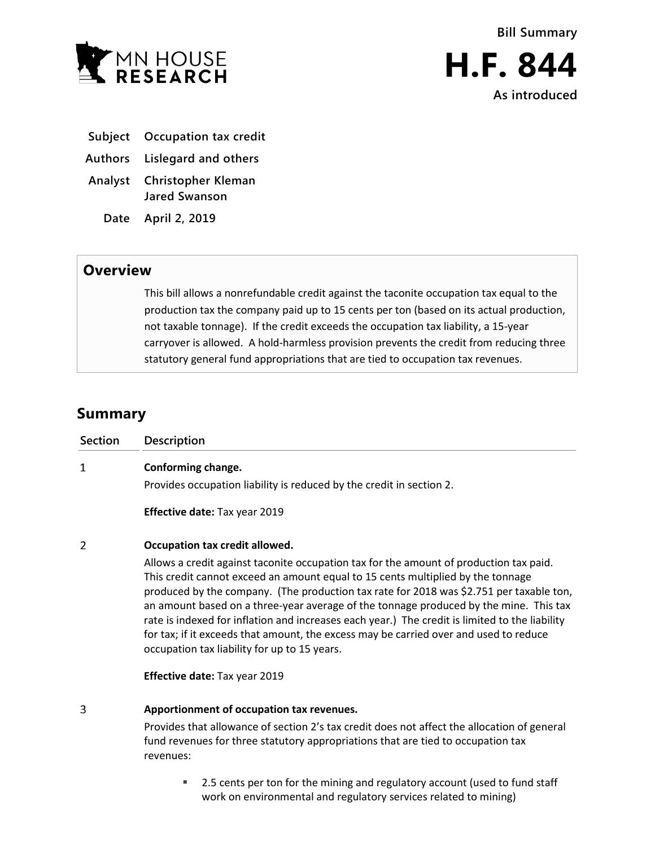

**H.F. 844 As introduced**

- **Subject Occupation tax credit**
- **Authors Lislegard and others**
- **Analyst Christopher Kleman Jared Swanson**

**Date April 2, 2019**

## **Overview**

This bill allows a nonrefundable credit against the taconite occupation tax equal to the production tax the company paid up to 15 cents per ton (based on its actual production, not taxable tonnage). If the credit exceeds the occupation tax liability, a 15-year carryover is allowed. A hold-harmless provision prevents the credit from reducing three statutory general fund appropriations that are tied to occupation tax revenues.

## **Summary**

| Section        | <b>Description</b>                                                                                                                                                                                                                                                                                                                                                                                                                                                                                                                                                                                       |
|----------------|----------------------------------------------------------------------------------------------------------------------------------------------------------------------------------------------------------------------------------------------------------------------------------------------------------------------------------------------------------------------------------------------------------------------------------------------------------------------------------------------------------------------------------------------------------------------------------------------------------|
| 1              | Conforming change.<br>Provides occupation liability is reduced by the credit in section 2.                                                                                                                                                                                                                                                                                                                                                                                                                                                                                                               |
|                | <b>Effective date:</b> Tax year 2019                                                                                                                                                                                                                                                                                                                                                                                                                                                                                                                                                                     |
| $\overline{2}$ | Occupation tax credit allowed.                                                                                                                                                                                                                                                                                                                                                                                                                                                                                                                                                                           |
|                | Allows a credit against taconite occupation tax for the amount of production tax paid.<br>This credit cannot exceed an amount equal to 15 cents multiplied by the tonnage<br>produced by the company. (The production tax rate for 2018 was \$2.751 per taxable ton,<br>an amount based on a three-year average of the tonnage produced by the mine. This tax<br>rate is indexed for inflation and increases each year.) The credit is limited to the liability<br>for tax; if it exceeds that amount, the excess may be carried over and used to reduce<br>occupation tax liability for up to 15 years. |
|                | <b>Effective date: Tax year 2019</b>                                                                                                                                                                                                                                                                                                                                                                                                                                                                                                                                                                     |
| 3              | Apportionment of occupation tax revenues.                                                                                                                                                                                                                                                                                                                                                                                                                                                                                                                                                                |

Provides that allowance of section 2's tax credit does not affect the allocation of general fund revenues for three statutory appropriations that are tied to occupation tax revenues:

■ 2.5 cents per ton for the mining and regulatory account (used to fund staff work on environmental and regulatory services related to mining)